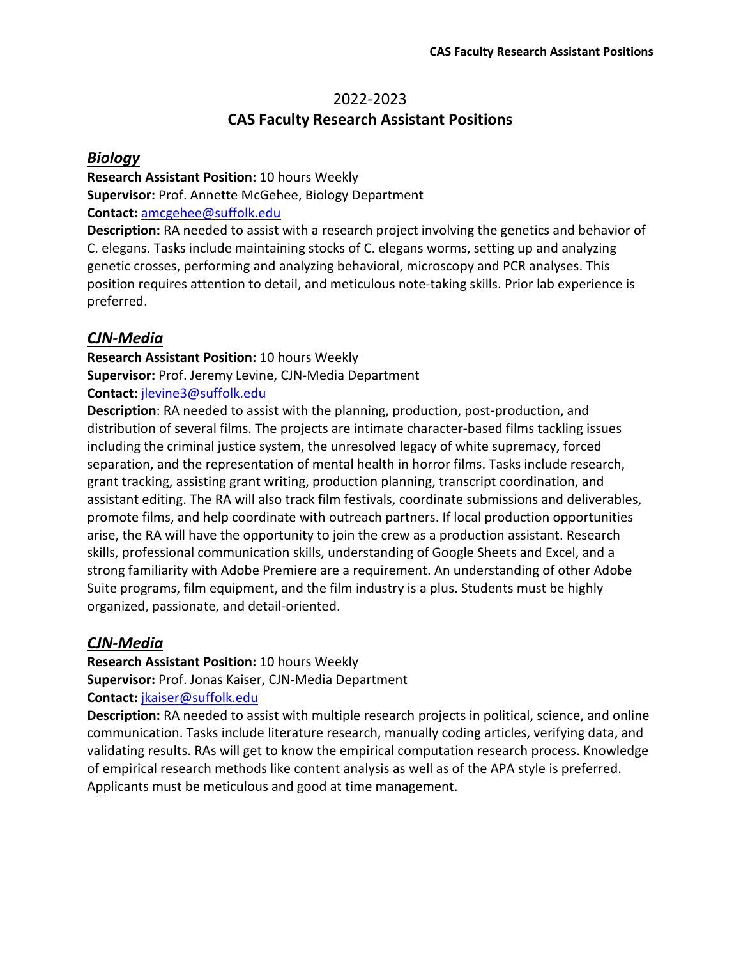# 2022-2023 **CAS Faculty Research Assistant Positions**

#### *Biology*

**Research Assistant Position:** 10 hours Weekly **Supervisor:** Prof. Annette McGehee, Biology Department **Contact:** [amcgehee@suffolk.edu](mailto:amcgehee@suffolk.edu)

**Description:** RA needed to assist with a research project involving the genetics and behavior of C. elegans. Tasks include maintaining stocks of C. elegans worms, setting up and analyzing genetic crosses, performing and analyzing behavioral, microscopy and PCR analyses. This position requires attention to detail, and meticulous note-taking skills. Prior lab experience is preferred.

## *CJN-Media*

**Research Assistant Position:** 10 hours Weekly **Supervisor:** Prof. Jeremy Levine, CJN-Media Department **Contact:** [jlevine3@suffolk.edu](mailto:jlevine3@suffolk.edu)

**Description**: RA needed to assist with the planning, production, post-production, and distribution of several films. The projects are intimate character-based films tackling issues including the criminal justice system, the unresolved legacy of white supremacy, forced separation, and the representation of mental health in horror films. Tasks include research, grant tracking, assisting grant writing, production planning, transcript coordination, and assistant editing. The RA will also track film festivals, coordinate submissions and deliverables, promote films, and help coordinate with outreach partners. If local production opportunities arise, the RA will have the opportunity to join the crew as a production assistant. Research skills, professional communication skills, understanding of Google Sheets and Excel, and a strong familiarity with Adobe Premiere are a requirement. An understanding of other Adobe Suite programs, film equipment, and the film industry is a plus. Students must be highly organized, passionate, and detail-oriented.

## *CJN-Media*

**Research Assistant Position:** 10 hours Weekly **Supervisor:** Prof. Jonas Kaiser, CJN-Media Department

**Contact:** [jkaiser@suffolk.edu](mailto:jkaiser@suffolk.edu)

**Description:** RA needed to assist with multiple research projects in political, science, and online communication. Tasks include literature research, manually coding articles, verifying data, and validating results. RAs will get to know the empirical computation research process. Knowledge of empirical research methods like content analysis as well as of the APA style is preferred. Applicants must be meticulous and good at time management.